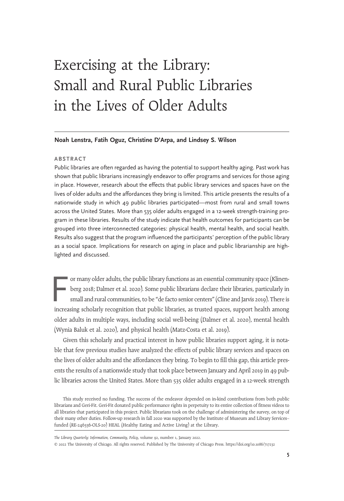# Exercising at the Library: Small and Rural Public Libraries in the Lives of Older Adults

#### Noah Lenstra, Fatih Oguz, Christine D'Arpa, and Lindsey S. Wilson

#### ABSTRACT

Public libraries are often regarded as having the potential to support healthy aging. Past work has shown that public librarians increasingly endeavor to offer programs and services for those aging in place. However, research about the effects that public library services and spaces have on the lives of older adults and the affordances they bring is limited. This article presents the results of a nationwide study in which 49 public libraries participated—most from rural and small towns across the United States. More than 535 older adults engaged in a 12-week strength-training program in these libraries. Results of the study indicate that health outcomes for participants can be grouped into three interconnected categories: physical health, mental health, and social health. Results also suggest that the program influenced the participants' perception of the public library as a social space. Implications for research on aging in place and public librarianship are highlighted and discussed.

F or many older adults, the public library functions as an essential community space (Klinenberg 2018; Dalmer et al. 2020). Some public librarians declare their libraries, particularly in small and rural communities, to be "de facto senior centers"(Cline and Jarvis 2019). There is increasing scholarly recognition that public libraries, as trusted spaces, support health among older adults in multiple ways, including social well-being (Dalmer et al. 2020), mental health (Wynia Baluk et al. 2020), and physical health (Matz-Costa et al. 2019).

Given this scholarly and practical interest in how public libraries support aging, it is notable that few previous studies have analyzed the effects of public library services and spaces on the lives of older adults and the affordances they bring. To begin to fill this gap, this article presents the results of a nationwide study that took place between January and April 2019 in 49 public libraries across the United States. More than 535 older adults engaged in a 12-week strength

This study received no funding. The success of the endeavor depended on in-kind contributions from both public librarians and Geri-Fit. Geri-Fit donated public performance rights in perpetuity to its entire collection of fitness videos to all libraries that participated in this project. Public librarians took on the challenge of administering the survey, on top of their many other duties. Follow-up research in fall 2020 was supported by the Institute of Museum and Library Services– funded (RE-246336-OLS-20) HEAL (Healthy Eating and Active Living) at the Library.

The Library Quarterly: Information, Community, Policy, volume 92, number 1, January 2022.

© 2022 The University of Chicago. All rights reserved. Published by The University of Chicago Press. https://doi.org/10.1086/717232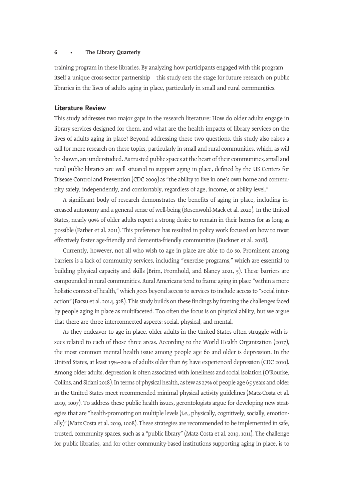training program in these libraries. By analyzing how participants engaged with this program itself a unique cross-sector partnership—this study sets the stage for future research on public libraries in the lives of adults aging in place, particularly in small and rural communities.

## Literature Review

This study addresses two major gaps in the research literature: How do older adults engage in library services designed for them, and what are the health impacts of library services on the lives of adults aging in place? Beyond addressing these two questions, this study also raises a call for more research on these topics, particularly in small and rural communities, which, as will be shown, are understudied. As trusted public spaces at the heart of their communities, small and rural public libraries are well situated to support aging in place, defined by the US Centers for Disease Control and Prevention (CDC 2009) as "the ability to live in one's own home and community safely, independently, and comfortably, regardless of age, income, or ability level."

A significant body of research demonstrates the benefits of aging in place, including increased autonomy and a general sense of well-being (Rosenwohl-Mack et al. 2020). In the United States, nearly 90% of older adults report a strong desire to remain in their homes for as long as possible (Farber et al. 2011). This preference has resulted in policy work focused on how to most effectively foster age-friendly and dementia-friendly communities (Buckner et al. 2018).

Currently, however, not all who wish to age in place are able to do so. Prominent among barriers is a lack of community services, including "exercise programs," which are essential to building physical capacity and skills (Brim, Fromhold, and Blaney 2021, 5). These barriers are compounded in rural communities. Rural Americans tend to frame aging in place "within a more holistic context of health," which goes beyond access to services to include access to "social interaction"(Bacsu et al. 2014, 328). This study builds on these findings by framing the challenges faced by people aging in place as multifaceted. Too often the focus is on physical ability, but we argue that there are three interconnected aspects: social, physical, and mental.

As they endeavor to age in place, older adults in the United States often struggle with issues related to each of those three areas. According to the World Health Organization (2017), the most common mental health issue among people age 60 and older is depression. In the United States, at least 15%–20% of adults older than 65 have experienced depression (CDC 2010). Among older adults, depression is often associated with loneliness and social isolation (O'Rourke, Collins, and Sidani 2018). In terms of physical health, as few as 27% of people age 65 years and older in the United States meet recommended minimal physical activity guidelines (Matz-Costa et al. 2019, 1007). To address these public health issues, gerontologists argue for developing new strategies that are "health-promoting on multiple levels (i.e., physically, cognitively, socially, emotionally)"(Matz Costa et al. 2019, 1008). These strategies are recommended to be implemented in safe, trusted, community spaces, such as a "public library" (Matz Costa et al. 2019, 1011). The challenge for public libraries, and for other community-based institutions supporting aging in place, is to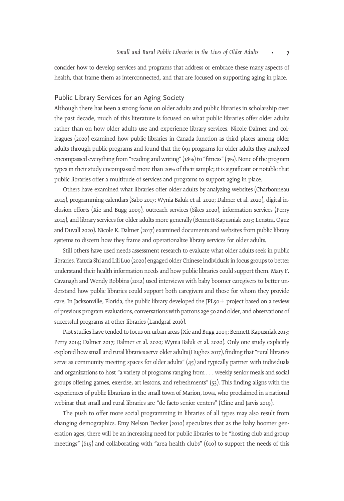consider how to develop services and programs that address or embrace these many aspects of health, that frame them as interconnected, and that are focused on supporting aging in place.

## Public Library Services for an Aging Society

Although there has been a strong focus on older adults and public libraries in scholarship over the past decade, much of this literature is focused on what public libraries offer older adults rather than on how older adults use and experience library services. Nicole Dalmer and colleagues (2020) examined how public libraries in Canada function as third places among older adults through public programs and found that the 691 programs for older adults they analyzed encompassed everything from "reading and writing"(18%) to "fitness"(3%). None of the program types in their study encompassed more than 20% of their sample; it is significant or notable that public libraries offer a multitude of services and programs to support aging in place.

Others have examined what libraries offer older adults by analyzing websites (Charbonneau 2014), programming calendars (Sabo 2017; Wynia Baluk et al. 2020; Dalmer et al. 2020), digital inclusion efforts (Xie and Bugg 2009), outreach services (Sikes 2020), information services (Perry 2014), and library services for older adults more generally (Bennett-Kapusniak 2013; Lenstra, Oguz and Duvall 2020). Nicole K. Dalmer (2017) examined documents and websites from public library systems to discern how they frame and operationalize library services for older adults.

Still others have used needs assessment research to evaluate what older adults seek in public libraries. Yanxia Shi and Lili Luo (2020) engaged older Chinese individuals in focus groups to better understand their health information needs and how public libraries could support them. Mary F. Cavanagh and Wendy Robbins (2012) used interviews with baby boomer caregivers to better understand how public libraries could support both caregivers and those for whom they provide care. In Jacksonville, Florida, the public library developed the JPL $50+$  project based on a review of previous program evaluations, conversations with patrons age 50 and older, and observations of successful programs at other libraries (Landgraf 2016).

Past studies have tended to focus on urban areas (Xie and Bugg 2009; Bennett-Kapusniak 2013; Perry 2014; Dalmer 2017; Dalmer et al. 2020; Wynia Baluk et al. 2020). Only one study explicitly explored how small and rural libraries serve older adults (Hughes 2017), finding that "rural libraries serve as community meeting spaces for older adults"  $(45)$  and typically partner with individuals and organizations to host "a variety of programs ranging from ... weekly senior meals and social groups offering games, exercise, art lessons, and refreshments"  $(53)$ . This finding aligns with the experiences of public librarians in the small town of Marion, Iowa, who proclaimed in a national webinar that small and rural libraries are "de facto senior centers" (Cline and Jarvis 2019).

The push to offer more social programming in libraries of all types may also result from changing demographics. Emy Nelson Decker (2010) speculates that as the baby boomer generation ages, there will be an increasing need for public libraries to be "hosting club and group meetings" (615) and collaborating with "area health clubs" (610) to support the needs of this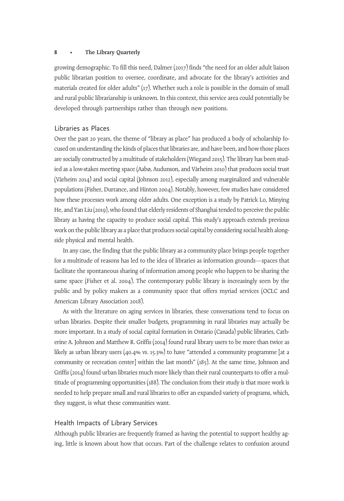growing demographic. To fill this need, Dalmer (2017) finds "the need for an older adult liaison public librarian position to oversee, coordinate, and advocate for the library's activities and materials created for older adults"  $(17)$ . Whether such a role is possible in the domain of small and rural public librarianship is unknown. In this context, this service area could potentially be developed through partnerships rather than through new positions.

# Libraries as Places

Over the past 20 years, the theme of "library as place" has produced a body of scholarship focused on understanding the kinds of places that libraries are, and have been, and how those places are socially constructed by a multitude of stakeholders (Wiegand 2015). The library has been studied as a low-stakes meeting space (Aabø, Audunson, and Vårheim 2010) that produces social trust (Vårheim 2014) and social capital (Johnson 2012), especially among marginalized and vulnerable populations (Fisher, Durrance, and Hinton 2004). Notably, however, few studies have considered how these processes work among older adults. One exception is a study by Patrick Lo, Minying He, and Yan Liu (2019), who found that elderly residents of Shanghai tended to perceive the public library as having the capacity to produce social capital. This study's approach extends previous work on the public library as a place that produces social capital by considering social health alongside physical and mental health.

In any case, the finding that the public library as a community place brings people together for a multitude of reasons has led to the idea of libraries as information grounds—spaces that facilitate the spontaneous sharing of information among people who happen to be sharing the same space (Fisher et al. 2004). The contemporary public library is increasingly seen by the public and by policy makers as a community space that offers myriad services (OCLC and American Library Association 2018).

As with the literature on aging services in libraries, these conversations tend to focus on urban libraries. Despite their smaller budgets, programming in rural libraries may actually be more important. In a study of social capital formation in Ontario (Canada) public libraries, Catherine A. Johnson and Matthew R. Griffis (2014) found rural library users to be more than twice as likely as urban library users (40.4% vs. 15.3%) to have "attended a community programme [at a community or recreation center] within the last month" (185). At the same time, Johnson and Griffis (2014) found urban libraries much more likely than their rural counterparts to offer a multitude of programming opportunities (188). The conclusion from their study is that more work is needed to help prepare small and rural libraries to offer an expanded variety of programs, which, they suggest, is what these communities want.

# Health Impacts of Library Services

Although public libraries are frequently framed as having the potential to support healthy aging, little is known about how that occurs. Part of the challenge relates to confusion around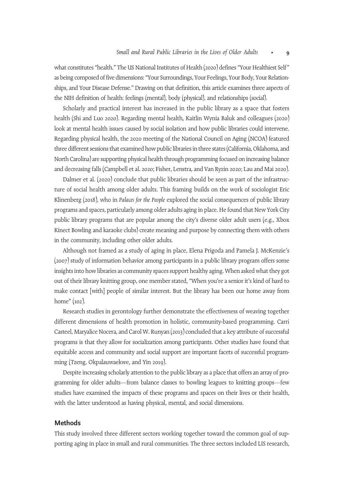what constitutes "health." The US National Institutes of Health (2020) defines "Your Healthiest Self" as being composed of five dimensions:"Your Surroundings, Your Feelings, Your Body, Your Relationships, and Your Disease Defense." Drawing on that definition, this article examines three aspects of the NIH definition of health: feelings (mental), body (physical), and relationships (social).

Scholarly and practical interest has increased in the public library as a space that fosters health (Shi and Luo 2020). Regarding mental health, Kaitlin Wynia Baluk and colleagues (2020) look at mental health issues caused by social isolation and how public libraries could intervene. Regarding physical health, the 2020 meeting of the National Council on Aging (NCOA) featured three different sessions that examined how public libraries in three states (California, Oklahoma, and North Carolina) are supporting physical health through programming focused on increasing balance and decreasing falls (Campbell et al. 2020; Fisher, Lenstra, and Van Ryzin 2020; Lau and Mai 2020).

Dalmer et al. (2020) conclude that public libraries should be seen as part of the infrastructure of social health among older adults. This framing builds on the work of sociologist Eric Klinenberg (2018), who in Palaces for the People explored the social consequences of public library programs and spaces, particularly among older adults aging in place. He found that New York City public library programs that are popular among the city's diverse older adult users (e.g., Xbox Kinect Bowling and karaoke clubs) create meaning and purpose by connecting them with others in the community, including other older adults.

Although not framed as a study of aging in place, Elena Prigoda and Pamela J. McKenzie's (2007) study of information behavior among participants in a public library program offers some insights into how libraries as community spaces support healthy aging. When asked what they got out of their library knitting group, one member stated, "When you're a senior it's kind of hard to make contact [with] people of similar interest. But the library has been our home away from home" (102).

Research studies in gerontology further demonstrate the effectiveness of weaving together different dimensions of health promotion in holistic, community-based programming. Carri Casteel, Maryalice Nocera, and Carol W. Runyan (2013) concluded that a key attribute of successful programs is that they allow for socialization among participants. Other studies have found that equitable access and community and social support are important facets of successful programming (Tzeng, Okpalauwaekwe, and Yin 2019).

Despite increasing scholarly attention to the public library as a place that offers an array of programming for older adults—from balance classes to bowling leagues to knitting groups—few studies have examined the impacts of these programs and spaces on their lives or their health, with the latter understood as having physical, mental, and social dimensions.

## Methods

This study involved three different sectors working together toward the common goal of supporting aging in place in small and rural communities. The three sectors included LIS research,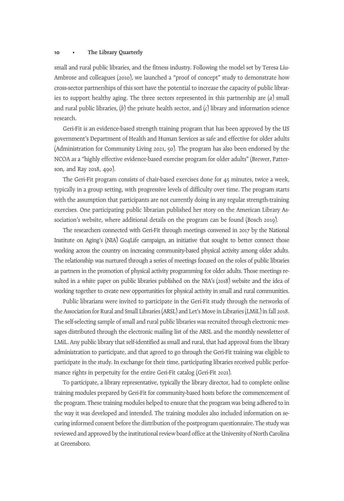small and rural public libraries, and the fitness industry. Following the model set by Teresa Liu-Ambrose and colleagues (2010), we launched a "proof of concept" study to demonstrate how cross-sector partnerships of this sort have the potential to increase the capacity of public libraries to support healthy aging. The three sectors represented in this partnership are  $(a)$  small and rural public libraries,  $(b)$  the private health sector, and  $(c)$  library and information science research.

Geri-Fit is an evidence-based strength training program that has been approved by the US government's Department of Health and Human Services as safe and effective for older adults (Administration for Community Living 2021, 50). The program has also been endorsed by the NCOA as a "highly effective evidence-based exercise program for older adults" (Brewer, Patterson, and Ray 2018, 490).

The Geri-Fit program consists of chair-based exercises done for 45 minutes, twice a week, typically in a group setting, with progressive levels of difficulty over time. The program starts with the assumption that participants are not currently doing in any regular strength-training exercises. One participating public librarian published her story on the American Library Association's website, where additional details on the program can be found (Bosch 2019).

The researchers connected with Geri-Fit through meetings convened in 2017 by the National Institute on Aging's (NIA) Go4Life campaign, an initiative that sought to better connect those working across the country on increasing community-based physical activity among older adults. The relationship was nurtured through a series of meetings focused on the roles of public libraries as partners in the promotion of physical activity programming for older adults. Those meetings resulted in a white paper on public libraries published on the NIA's (2018) website and the idea of working together to create new opportunities for physical activity in small and rural communities.

Public librarians were invited to participate in the Geri-Fit study through the networks of the Association for Rural and Small Libraries (ARSL) and Let's Move in Libraries (LMiL) in fall 2018. The self-selecting sample of small and rural public libraries was recruited through electronic messages distributed through the electronic mailing list of the ARSL and the monthly newsletter of LMiL. Any public library that self-identified as small and rural, that had approval from the library administration to participate, and that agreed to go through the Geri-Fit training was eligible to participate in the study. In exchange for their time, participating libraries received public performance rights in perpetuity for the entire Geri-Fit catalog (Geri-Fit 2021).

To participate, a library representative, typically the library director, had to complete online training modules prepared by Geri-Fit for community-based hosts before the commencement of the program. These training modules helped to ensure that the program was being adhered to in the way it was developed and intended. The training modules also included information on securing informed consent before the distribution of the postprogram questionnaire. The study was reviewed and approved by the institutional review board office at the University of North Carolina at Greensboro.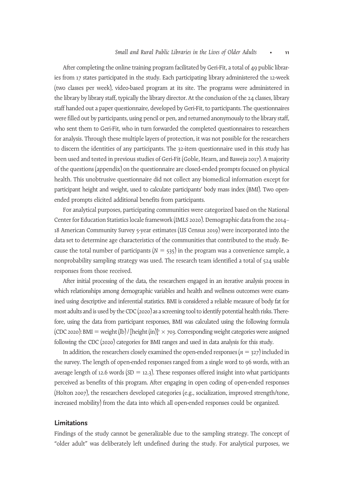After completing the online training program facilitated by Geri-Fit, a total of 49 public libraries from 17 states participated in the study. Each participating library administered the 12-week (two classes per week), video-based program at its site. The programs were administered in the library by library staff, typically the library director. At the conclusion of the 24 classes, library staff handed out a paper questionnaire, developed by Geri-Fit, to participants. The questionnaires were filled out by participants, using pencil or pen, and returned anonymously to the library staff, who sent them to Geri-Fit, who in turn forwarded the completed questionnaires to researchers for analysis. Through these multiple layers of protection, it was not possible for the researchers to discern the identities of any participants. The 32-item questionnaire used in this study has been used and tested in previous studies of Geri-Fit (Goble, Hearn, and Baweja 2017). A majority of the questions (appendix) on the questionnaire are closed-ended prompts focused on physical health. This unobtrusive questionnaire did not collect any biomedical information except for participant height and weight, used to calculate participants' body mass index (BMI). Two openended prompts elicited additional benefits from participants.

For analytical purposes, participating communities were categorized based on the National Center for Education Statistics locale framework (IMLS 2020). Demographic data from the 2014– 18 American Community Survey 5-year estimates (US Census 2019) were incorporated into the data set to determine age characteristics of the communities that contributed to the study. Because the total number of participants ( $N = 535$ ) in the program was a convenience sample, a nonprobability sampling strategy was used. The research team identified a total of 524 usable responses from those received.

After initial processing of the data, the researchers engaged in an iterative analysis process in which relationships among demographic variables and health and wellness outcomes were examined using descriptive and inferential statistics. BMI is considered a reliable measure of body fat for most adults and is used by the CDC (2020) as a screening tool to identify potential health risks. Therefore, using the data from participant responses, BMI was calculated using the following formula (CDC 2020): BMI = weight (lb) / [height (in)]<sup>2</sup>  $\times$  703. Corresponding weight categories were assigned following the CDC (2020) categories for BMI ranges and used in data analysis for this study.

In addition, the researchers closely examined the open-ended responses  $(n = 327)$  included in the survey. The length of open-ended responses ranged from a single word to 96 words, with an average length of 12.6 words ( $SD = 12.3$ ). These responses offered insight into what participants perceived as benefits of this program. After engaging in open coding of open-ended responses (Holton 2007), the researchers developed categories (e.g., socialization, improved strength/tone, increased mobility) from the data into which all open-ended responses could be organized.

## Limitations

Findings of the study cannot be generalizable due to the sampling strategy. The concept of "older adult" was deliberately left undefined during the study. For analytical purposes, we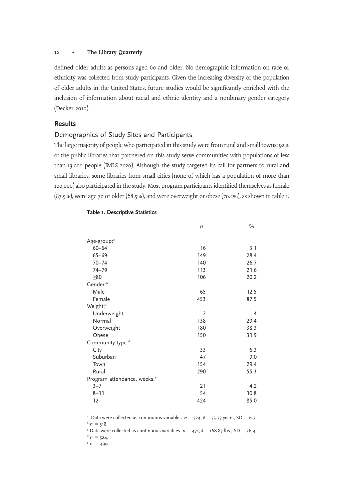defined older adults as persons aged 60 and older. No demographic information on race or ethnicity was collected from study participants. Given the increasing diversity of the population of older adults in the United States, future studies would be significantly enriched with the inclusion of information about racial and ethnic identity and a nonbinary gender category (Decker 2010).

# **Results**

## Demographics of Study Sites and Participants

The large majority of people who participated in this study were from rural and small towns: 92% of the public libraries that partnered on this study serve communities with populations of less than 13,000 people (IMLS 2020). Although the study targeted its call for partners to rural and small libraries, some libraries from small cities (none of which has a population of more than 100,000) also participated in the study. Most program participants identified themselves as female (87.5%), were age 70 or older (68.5%), and were overweight or obese (70.2%), as shown in table 1.

|                                         | n   | %    |
|-----------------------------------------|-----|------|
| Age-group: <sup>a</sup>                 |     |      |
| $60 - 64$                               | 16  | 3.1  |
| $65 - 69$                               | 149 | 28.4 |
| $70 - 74$                               | 140 | 26.7 |
| $74 - 79$                               | 113 | 21.6 |
| $\geq 80$                               | 106 | 20.2 |
| Gender: <sup>b</sup>                    |     |      |
| Male                                    | 65  | 12.5 |
| Female                                  | 453 | 87.5 |
| Weight:"                                |     |      |
| Underweight                             | 2   | .4   |
| Normal                                  | 138 | 29.4 |
| Overweight                              | 180 | 38.3 |
| Obese                                   | 150 | 31.9 |
| Community type: <sup>d</sup>            |     |      |
| City                                    | 33  | 6.3  |
| Suburban                                | 47  | 9.0  |
| Town                                    | 154 | 29.4 |
| Rural                                   | 290 | 55.3 |
| Program attendance, weeks: <sup>e</sup> |     |      |
| $3 - 7$                                 | 21  | 4.2  |
| $8 - 11$                                | 54  | 10.8 |
| 12                                      | 424 | 85.0 |

#### Table 1. Descriptive Statistics

<sup>a</sup> Data were collected as continuous variables.  $n = 524$ ,  $\bar{x} = 73.77$  years, SD = 6.7.

 $h = 518$ .

<sup>c</sup> Data were collected as continuous variables.  $n = 471$ ,  $\bar{x} = 168.87$  lbs., SD = 36.4.

 $n = 524$ .

 $e n = 499.$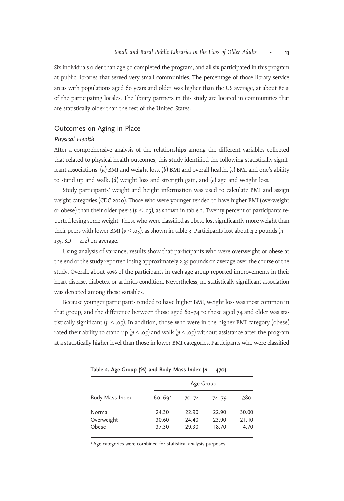Six individuals older than age 90 completed the program, and all six participated in this program at public libraries that served very small communities. The percentage of those library service areas with populations aged 60 years and older was higher than the US average, at about 80% of the participating locales. The library partners in this study are located in communities that are statistically older than the rest of the United States.

# Outcomes on Aging in Place

## Physical Health

After a comprehensive analysis of the relationships among the different variables collected that related to physical health outcomes, this study identified the following statistically significant associations: (a) BMI and weight loss, (b) BMI and overall health, (c) BMI and one's ability to stand up and walk,  $(d)$  weight loss and strength gain, and  $(e)$  age and weight loss.

Study participants' weight and height information was used to calculate BMI and assign weight categories (CDC 2020). Those who were younger tended to have higher BMI (overweight or obese) than their older peers ( $p < .05$ ), as shown in table 2. Twenty percent of participants reported losing some weight. Those who were classified as obese lost significantly more weight than their peers with lower BMI ( $p < .05$ ), as shown in table 3. Participants lost about 4.2 pounds ( $n =$ 135,  $SD = 4.2$  on average.

Using analysis of variance, results show that participants who were overweight or obese at the end of the study reported losing approximately 2.35 pounds on average over the course of the study. Overall, about 50% of the participants in each age-group reported improvements in their heart disease, diabetes, or arthritis condition. Nevertheless, no statistically significant association was detected among these variables.

Because younger participants tended to have higher BMI, weight loss was most common in that group, and the difference between those aged  $60-74$  to those aged  $74$  and older was statistically significant ( $p < .05$ ). In addition, those who were in the higher BMI category (obese) rated their ability to stand up ( $p < .05$ ) and walk ( $p < .05$ ) without assistance after the program at a statistically higher level than those in lower BMI categories. Participants who were classified

|                     | Age-Group              |                |                |                |
|---------------------|------------------------|----------------|----------------|----------------|
| Body Mass Index     | $60 - 69$ <sup>a</sup> | $70 - 74$      | $74 - 79$      | >80            |
| Normal              | 24.30                  | 22.90          | 22.90          | 30.00          |
| Overweight<br>Obese | 30.60<br>37.30         | 24.40<br>29.30 | 23.90<br>18.70 | 21.10<br>14.70 |

Table 2. Age-Group (%) and Body Mass Index  $(n = 470)$ 

<sup>a</sup> Age categories were combined for statistical analysis purposes.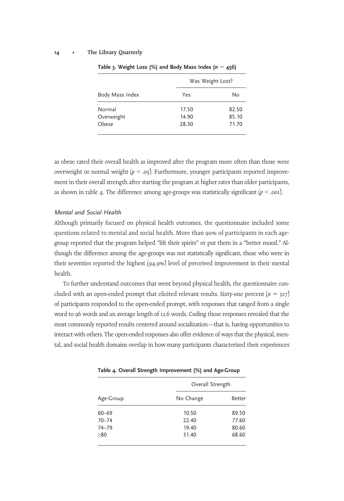|                               |                         | Was Weight Lost?        |  |
|-------------------------------|-------------------------|-------------------------|--|
| Body Mass Index               | Yes                     | No                      |  |
| Normal<br>Overweight<br>Obese | 17.50<br>14.90<br>28.30 | 82.50<br>85.10<br>71.70 |  |

Table 3. Weight Loss (%) and Body Mass Index ( $n = 456$ )

as obese rated their overall health as improved after the program more often than those were overweight or normal weight  $(p < .05)$ . Furthermore, younger participants reported improvement in their overall strength after starting the program at higher rates than older participants, as shown in table 4. The difference among age-groups was statistically significant  $(p < .001)$ .

## Mental and Social Health

Although primarily focused on physical health outcomes, the questionnaire included some questions related to mental and social health. More than 90% of participants in each agegroup reported that the program helped "lift their spirits" or put them in a "better mood." Although the difference among the age-groups was not statistically significant, those who were in their seventies reported the highest (94.9%) level of perceived improvement in their mental health.

To further understand outcomes that went beyond physical health, the questionnaire concluded with an open-ended prompt that elicited relevant results. Sixty-one percent  $(n = 327)$ of participants responded to the open-ended prompt, with responses that ranged from a single word to 96 words and an average length of 12.6 words. Coding those responses revealed that the most commonly reported results centered around socialization—that is, having opportunities to interact with others. The open-ended responses also offer evidence of ways that the physical, mental, and social health domains overlap in how many participants characterized their experiences

| Age-Group | Overall Strength |        |  |
|-----------|------------------|--------|--|
|           | No Change        | Better |  |
| $60 - 69$ | 10.50            | 89.50  |  |
| $70 - 74$ | 22.40            | 77.60  |  |
| $74 - 79$ | 19.40            | 80.60  |  |
| > 80      | 31.40            | 68.60  |  |

Table 4. Overall Strength Improvement (%) and Age-Group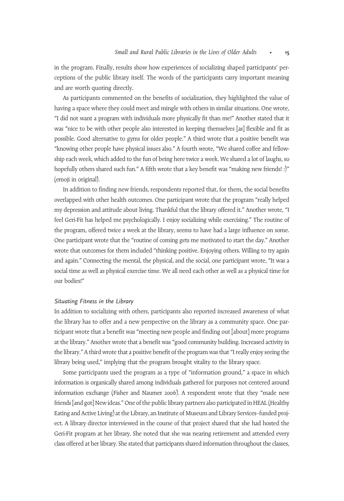in the program. Finally, results show how experiences of socializing shaped participants' perceptions of the public library itself. The words of the participants carry important meaning and are worth quoting directly.

As participants commented on the benefits of socialization, they highlighted the value of having a space where they could meet and mingle with others in similar situations. One wrote, "I did not want a program with individuals more physically fit than me!" Another stated that it was "nice to be with other people also interested in keeping themselves [as] flexible and fit as possible. Good alternative to gyms for older people." A third wrote that a positive benefit was "knowing other people have physical issues also." A fourth wrote, "We shared coffee and fellowship each week, which added to the fun of being here twice a week. We shared a lot of laughs, so hopefully others shared such fun." A fifth wrote that a key benefit was "making new friends! :)" (emoji in original).

In addition to finding new friends, respondents reported that, for them, the social benefits overlapped with other health outcomes. One participant wrote that the program "really helped my depression and attitude about living. Thankful that the library offered it." Another wrote, "I feel Geri-Fit has helped me psychologically. I enjoy socializing while exercising." The routine of the program, offered twice a week at the library, seems to have had a large influence on some. One participant wrote that the "routine of coming gets me motivated to start the day." Another wrote that outcomes for them included "thinking positive. Enjoying others. Willing to try again and again." Connecting the mental, the physical, and the social, one participant wrote, "It was a social time as well as physical exercise time. We all need each other as well as a physical time for our bodies!"

#### Situating Fitness in the Library

In addition to socializing with others, participants also reported increased awareness of what the library has to offer and a new perspective on the library as a community space. One participant wrote that a benefit was "meeting new people and finding out [about] more programs at the library." Another wrote that a benefit was"good community building. Increased activity in the library." A third wrote that a positive benefit of the program was that "I really enjoy seeing the library being used," implying that the program brought vitality to the library space.

Some participants used the program as a type of "information ground," a space in which information is organically shared among individuals gathered for purposes not centered around information exchange (Fisher and Naumer 2006). A respondent wrote that they "made new friends [and got] New ideas." One of the public library partners also participated in HEAL (Healthy Eating and Active Living) at the Library, an Institute of Museum and Library Services–funded project. A library director interviewed in the course of that project shared that she had hosted the Geri-Fit program at her library. She noted that she was nearing retirement and attended every class offered at her library. She stated that participants shared information throughout the classes,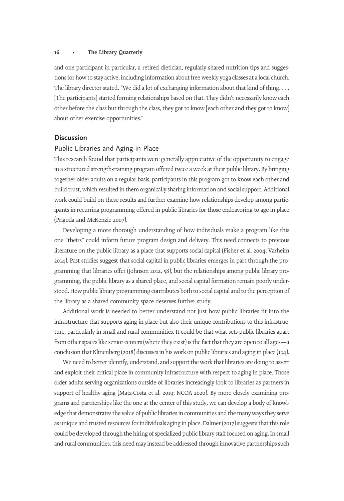and one participant in particular, a retired dietician, regularly shared nutrition tips and suggestions for how to stay active, including information about free weekly yoga classes at a local church. The library director stated, "We did a lot of exchanging information about that kind of thing. . . . [The participants] started forming relationships based on that. They didn't necessarily know each other before the class but through the class, they got to know [each other and they got to know] about other exercise opportunities."

# **Discussion**

## Public Libraries and Aging in Place

This research found that participants were generally appreciative of the opportunity to engage in a structured strength-training program offered twice a week at their public library. By bringing together older adults on a regular basis, participants in this program got to know each other and build trust, which resulted in them organically sharing information and social support. Additional work could build on these results and further examine how relationships develop among participants in recurring programming offered in public libraries for those endeavoring to age in place (Prigoda and McKenzie 2007).

Developing a more thorough understanding of how individuals make a program like this one "theirs" could inform future program design and delivery. This need connects to previous literature on the public library as a place that supports social capital (Fisher et al. 2004; Varheim 2014). Past studies suggest that social capital in public libraries emerges in part through the programming that libraries offer (Johnson 2012, 58), but the relationships among public library programming, the public library as a shared place, and social capital formation remain poorly understood. How public library programming contributes both to social capital and to the perception of the library as a shared community space deserves further study.

Additional work is needed to better understand not just how public libraries fit into the infrastructure that supports aging in place but also their unique contributions to this infrastructure, particularly in small and rural communities. It could be that what sets public libraries apart from other spaces like senior centers (where they exist) is the fact that they are open to all ages—a conclusion that Klinenberg (2018) discusses in his work on public libraries and aging in place (134).

We need to better identify, understand, and support the work that libraries are doing to assert and exploit their critical place in community infrastructure with respect to aging in place. Those older adults serving organizations outside of libraries increasingly look to libraries as partners in support of healthy aging (Matz-Costa et al. 2019; NCOA 2020). By more closely examining programs and partnerships like the one at the center of this study, we can develop a body of knowledge that demonstrates the value of public libraries in communities and the many ways they serve as unique and trusted resources for individuals aging in place. Dalmer (2017) suggests that this role could be developed through the hiring of specialized public library staff focused on aging. In small and rural communities, this need may instead be addressed through innovative partnerships such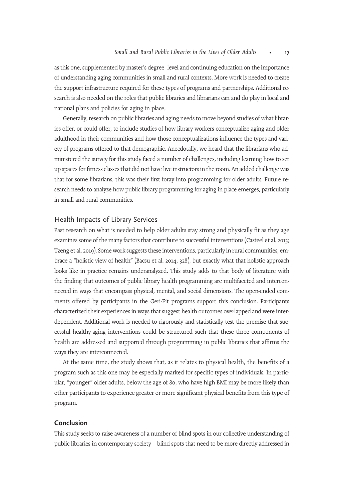as this one, supplemented by master's degree–level and continuing education on the importance of understanding aging communities in small and rural contexts. More work is needed to create the support infrastructure required for these types of programs and partnerships. Additional research is also needed on the roles that public libraries and librarians can and do play in local and national plans and policies for aging in place.

Generally, research on public libraries and aging needs to move beyond studies of what libraries offer, or could offer, to include studies of how library workers conceptualize aging and older adulthood in their communities and how those conceptualizations influence the types and variety of programs offered to that demographic. Anecdotally, we heard that the librarians who administered the survey for this study faced a number of challenges, including learning how to set up spaces for fitness classes that did not have live instructors in the room. An added challenge was that for some librarians, this was their first foray into programming for older adults. Future research needs to analyze how public library programming for aging in place emerges, particularly in small and rural communities.

# Health Impacts of Library Services

Past research on what is needed to help older adults stay strong and physically fit as they age examines some of the many factors that contribute to successful interventions (Casteel et al. 2013; Tzeng et al. 2019). Some work suggests these interventions, particularly in rural communities, embrace a "holistic view of health" (Bacsu et al. 2014, 328), but exactly what that holistic approach looks like in practice remains underanalyzed. This study adds to that body of literature with the finding that outcomes of public library health programming are multifaceted and interconnected in ways that encompass physical, mental, and social dimensions. The open-ended comments offered by participants in the Geri-Fit programs support this conclusion. Participants characterized their experiences in ways that suggest health outcomes overlapped and were interdependent. Additional work is needed to rigorously and statistically test the premise that successful healthy-aging interventions could be structured such that these three components of health are addressed and supported through programming in public libraries that affirms the ways they are interconnected.

At the same time, the study shows that, as it relates to physical health, the benefits of a program such as this one may be especially marked for specific types of individuals. In particular, "younger" older adults, below the age of 80, who have high BMI may be more likely than other participants to experience greater or more significant physical benefits from this type of program.

## Conclusion

This study seeks to raise awareness of a number of blind spots in our collective understanding of public libraries in contemporary society—blind spots that need to be more directly addressed in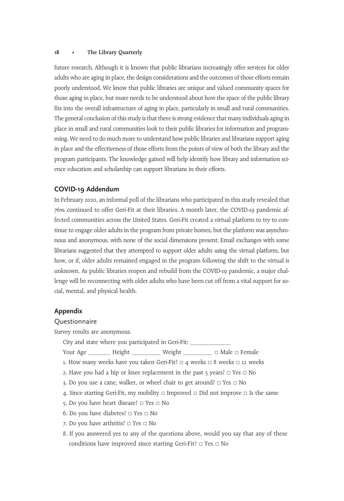future research. Although it is known that public librarians increasingly offer services for older adults who are aging in place, the design considerations and the outcomes of those efforts remain poorly understood. We know that public libraries are unique and valued community spaces for those aging in place, but more needs to be understood about how the space of the public library fits into the overall infrastructure of aging in place, particularly in small and rural communities. The general conclusion of this study is that there is strong evidence that many individuals aging in place in small and rural communities look to their public libraries for information and programming. We need to do much more to understand how public libraries and librarians support aging in place and the effectiveness of those efforts from the points of view of both the library and the program participants. The knowledge gained will help identify how library and information science education and scholarship can support librarians in their efforts.

## COVID-19 Addendum

In February 2020, an informal poll of the librarians who participated in this study revealed that 76% continued to offer Geri-Fit at their libraries. A month later, the COVID-19 pandemic affected communities across the United States. Geri-Fit created a virtual platform to try to continue to engage older adults in the program from private homes, but the platform was asynchronous and anonymous, with none of the social dimensions present. Email exchanges with some librarians suggested that they attempted to support older adults using the virtual platform, but how, or if, older adults remained engaged in the program following the shift to the virtual is unknown. As public libraries reopen and rebuild from the COVID-19 pandemic, a major challenge will be reconnecting with older adults who have been cut off from a vital support for social, mental, and physical health.

# Appendix

## Questionnaire

Survey results are anonymous.

City and state where you participated in Geri-Fit: \_\_\_\_\_\_\_\_\_\_\_

Your Age \_\_\_\_\_\_\_\_ Height \_\_\_\_\_\_\_\_\_\_ Weight \_\_\_\_\_\_\_\_\_\_ □ Male □ Female

- 1. How many weeks have you taken Geri-Fit?  $\Box$  4 weeks  $\Box$  8 weeks  $\Box$  12 weeks
- 2. Have you had a hip or knee replacement in the past 5 years?  $\Box$  Yes  $\Box$  No
- 3. Do you use a cane, walker, or wheel chair to get around? □ Yes □ No
- 4. Since starting Geri-Fit, my mobility  $\Box$  Improved  $\Box$  Did not improve  $\Box$  Is the same
- 5. Do you have heart disease? □ Yes □ No
- 6. Do you have diabetes? □ Yes □ No
- 7. Do you have arthritis? □ Yes □ No
- 8. If you answered yes to any of the questions above, would you say that any of these conditions have improved since starting Geri-Fit? □ Yes □ No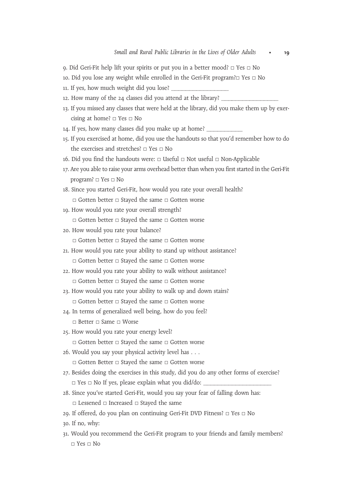- 9. Did Geri-Fit help lift your spirits or put you in a better mood? □ Yes □ No
- 10. Did you lose any weight while enrolled in the Geri-Fit program?□ Yes □ No
- 11. If yes, how much weight did you lose? \_
- 12. How many of the 24 classes did you attend at the library?
- 13. If you missed any classes that were held at the library, did you make them up by exercising at home? □ Yes □ No
- 14. If yes, how many classes did you make up at home?
- 15. If you exercised at home, did you use the handouts so that you'd remember how to do the exercises and stretches? □ Yes □ No
- 16. Did you find the handouts were: □ Useful □ Not useful □ Non-Applicable
- 17. Are you able to raise your arms overhead better than when you first started in the Geri-Fit program? □ Yes □ No
- 18. Since you started Geri-Fit, how would you rate your overall health? □ Gotten better □ Stayed the same □ Gotten worse
- 19. How would you rate your overall strength?
	- □ Gotten better □ Stayed the same □ Gotten worse
- 20. How would you rate your balance?
	- □ Gotten better □ Stayed the same □ Gotten worse
- 21. How would you rate your ability to stand up without assistance? □ Gotten better □ Stayed the same □ Gotten worse
- 22. How would you rate your ability to walk without assistance?
	- □ Gotten better □ Stayed the same □ Gotten worse
- 23. How would you rate your ability to walk up and down stairs?
	- □ Gotten better □ Stayed the same □ Gotten worse
- 24. In terms of generalized well being, how do you feel?
	- □ Better □ Same □ Worse
- 25. How would you rate your energy level?
	- □ Gotten better □ Stayed the same □ Gotten worse
- 26. Would you say your physical activity level has ... □ Gotten Better □ Stayed the same □ Gotten worse
- 27. Besides doing the exercises in this study, did you do any other forms of exercise?
	- □ Yes □ No If yes, please explain what you did/do:
- 28. Since you've started Geri-Fit, would you say your fear of falling down has:
	- □ Lessened □ Increased □ Stayed the same
- 29. If offered, do you plan on continuing Geri-Fit DVD Fitness? □ Yes □ No
- 30. If no, why:
- 31. Would you recommend the Geri-Fit program to your friends and family members?  $\Box$  Yes  $\Box$  No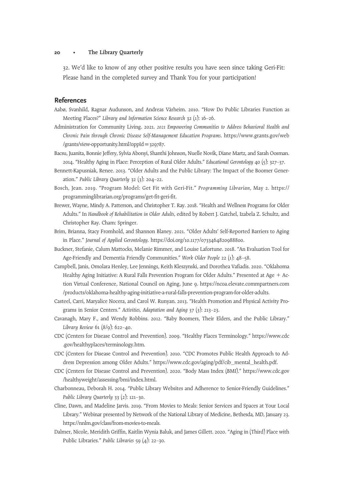32. We'd like to know of any other positive results you have seen since taking Geri-Fit: Please hand in the completed survey and Thank You for your participation!

## **References**

- Aabø, Svanhild, Ragnar Audunson, and Andreas Vårheim. 2010. "How Do Public Libraries Function as Meeting Places?" Library and Information Science Research 32 (1): 16–26.
- Administration for Community Living. 2021. 2021 Empowering Communities to Address Behavioral Health and Chronic Pain through Chronic Disease Self-Management Education Programs. https://www.grants.gov/web /grants/view-opportunity.html?oppId=329787.
- Bacsu, Juanita, Bonnie Jeffery, Sylvia Abonyi, Shanthi Johnson, Nuelle Novik, Diane Martz, and Sarah Oosman. 2014. "Healthy Aging in Place: Perception of Rural Older Adults." Educational Gerontology 40 (5): 327–37.
- Bennett-Kapusniak, Renee. 2013. "Older Adults and the Public Library: The Impact of the Boomer Generation." Public Library Quarterly 32 (3): 204–22.
- Bosch, Jean. 2019. "Program Model: Get Fit with Geri-Fit." Programming Librarian, May 2. https:// programminglibrarian.org/programs/get-fit-geri-fit.
- Brewer, Wayne, Mindy A. Patterson, and Christopher T. Ray. 2018. "Health and Wellness Programs for Older Adults." In Handbook of Rehabilitation in Older Adults, edited by Robert J. Gatchel, Izabela Z. Schultz, and Christopher Ray. Cham: Springer.
- Brim, Brianna, Stacy Fromhold, and Shannon Blaney. 2021. "Older Adults' Self-Reported Barriers to Aging in Place." Journal of Applied Gerontology. https://doi.org/10.1177/0733464820988800.
- Buckner, Stefanie, Calum Mattocks, Melanie Rimmer, and Louise Lafortune. 2018. "An Evaluation Tool for Age-Friendly and Dementia Friendly Communities." Work Older People 22 (1): 48–58.
- Campbell, Janis, Omolara Henley, Lee Jennings, Keith Kleszynski, and Dorothea Vafiadis. 2020. "Oklahoma Healthy Aging Initiative: A Rural Falls Prevention Program for Older Adults." Presented at Age  $+$  Action Virtual Conference, National Council on Aging, June 9. https://ncoa.elevate.commpartners.com /products/oklahoma-healthy-aging-initiative-a-rural-falls-prevention-program-for-older-adults.
- Casteel, Carri, Maryalice Nocera, and Carol W. Runyan. 2013. "Health Promotion and Physical Activity Programs in Senior Centers." Activities, Adaptation and Aging 37 (3): 213–23.
- Cavanagh, Mary F., and Wendy Robbins. 2012. "Baby Boomers, Their Elders, and the Public Library." Library Review 61 (8/9): 622–40.
- CDC (Centers for Disease Control and Prevention). 2009. "Healthy Places Terminology." https://www.cdc .gov/healthyplaces/terminology.htm.
- CDC (Centers for Disease Control and Prevention). 2010. "CDC Promotes Public Health Approach to Address Depression among Older Adults." https://www.cdc.gov/aging/pdf/cib\_mental\_health.pdf.
- CDC (Centers for Disease Control and Prevention). 2020. "Body Mass Index (BMI)." https://www.cdc.gov /healthyweight/assessing/bmi/index.html.
- Charbonneau, Deborah H. 2014. "Public Library Websites and Adherence to Senior-Friendly Guidelines." Public Library Quarterly 33 (2): 121-30.
- Cline, Dawn, and Madeline Jarvis. 2019. "From Movies to Meals: Senior Services and Spaces at Your Local Library." Webinar presented by Network of the National Library of Medicine, Bethesda, MD, January 23. https://nnlm.gov/class/from-movies-to-meals.
- Dalmer, Nicole, Meridith Griffin, Kaitlin Wynia Baluk, and James Gillett. 2020. "Aging in (Third) Place with Public Libraries." Public Libraries  $59(4)$ : 22–30.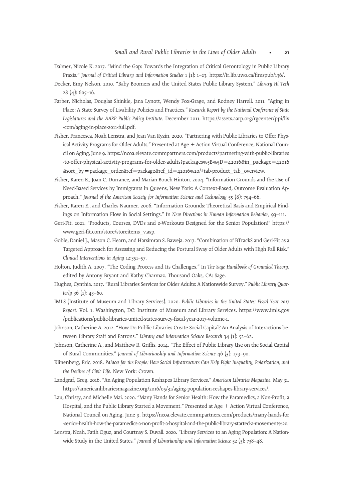- Dalmer, Nicole K. 2017. "Mind the Gap: Towards the Integration of Critical Gerontology in Public Library Praxis." Journal of Critical Library and Information Studies 1 (1): 1–23. https://ir.lib.uwo.ca/fimspub/136/.
- Decker, Emy Nelson. 2010. "Baby Boomers and the United States Public Library System." Library Hi Tech  $28(4): 605-16.$
- Farber, Nicholas, Douglas Shinkle, Jana Lynott, Wendy Fox-Grage, and Rodney Harrell. 2011. "Aging in Place: A State Survey of Livability Policies and Practices." Research Report by the National Conference of State Legislatures and the AARP Public Policy Institute. December 2011. https://assets.aarp.org/rgcenter/ppi/liv -com/aging-in-place-2011-full.pdf.
- Fisher, Francesca, Noah Lenstra, and Jean Van Ryzin. 2020. "Partnering with Public Libraries to Offer Physical Activity Programs for Older Adults." Presented at Age + Action Virtual Conference, National Council on Aging, June 9. https://ncoa.elevate.commpartners.com/products/partnering-with-public-libraries -to-offer-physical-activity-programs-for-older-adults?packages%5B%5D=42016&in\_package=42016 &sort\_byppackage\_order&ref5package&ref\_id542016%20/#tab-product\_tab\_overview.
- Fisher, Karen E., Joan C. Durrance, and Marian Bouch Hinton. 2004. "Information Grounds and the Use of Need-Based Services by Immigrants in Queens, New York: A Context-Based, Outcome Evaluation Approach." Journal of the American Society for Information Science and Technology 55 (8): 754–66.
- Fisher, Karen E., and Charles Naumer. 2006. "Information Grounds: Theoretical Basis and Empirical Findings on Information Flow in Social Settings." In New Directions in Human Information Behavior, 93–111.
- Geri-Fit. 2021. "Products, Courses, DVDs and e-Workouts Designed for the Senior Population!" https:// www.geri-fit.com/store/storeitems\_v.asp.
- Goble, Daniel J., Mason C. Hearn, and Harsimran S. Baweja. 2017. "Combination of BTrackS and Geri-Fit as a Targeted Approach for Assessing and Reducing the Postural Sway of Older Adults with High Fall Risk." Clinical Interventions in Aging 12:351–57.
- Holton, Judith A. 2007. "The Coding Process and Its Challenges." In The Sage Handbook of Grounded Theory, edited by Antony Bryant and Kathy Charmaz. Thousand Oaks, CA: Sage.
- Hughes, Cynthia. 2017. "Rural Libraries Services for Older Adults: A Nationwide Survey." Public Library Quarterly 36 (1): 43–60.
- IMLS (Institute of Museum and Library Services). 2020. Public Libraries in the United States: Fiscal Year 2017 Report. Vol. 1. Washington, DC: Institute of Museum and Library Services. https://www.imls.gov /publications/public-libraries-united-states-survey-fiscal-year-2017-volume-1.
- Johnson, Catherine A. 2012. "How Do Public Libraries Create Social Capital? An Analysis of Interactions between Library Staff and Patrons." Library and Information Science Research 34 (1): 52-62.
- Johnson, Catherine A., and Matthew R. Griffis. 2014. "The Effect of Public Library Use on the Social Capital of Rural Communities." Journal of Librarianship and Information Science 46 (3): 179–90.
- Klinenberg, Eric. 2018. Palaces for the People: How Social Infrastructure Can Help Fight Inequality, Polarization, and the Decline of Civic Life. New York: Crown.
- Landgraf, Greg. 2016. "An Aging Population Reshapes Library Services." American Libraries Magazine. May 31. https://americanlibrariesmagazine.org/2016/05/31/aging-population-reshapes-library-services/.
- Lau, Christy, and Michelle Mai. 2020. "Many Hands for Senior Health: How the Paramedics, a Non-Profit, a Hospital, and the Public Library Started a Movement." Presented at Age + Action Virtual Conference, National Council on Aging, June 9. https://ncoa.elevate.commpartners.com/products/many-hands-for -senior-health-how-the-paramedics-a-non-profit-a-hospital-and-the-public-library-started-a-movement%20.
- Lenstra, Noah, Fatih Oguz, and Courtnay S. Duvall. 2020. "Library Services to an Aging Population: A Nationwide Study in the United States." Journal of Librarianship and Information Science  $52$  (3): 738–48.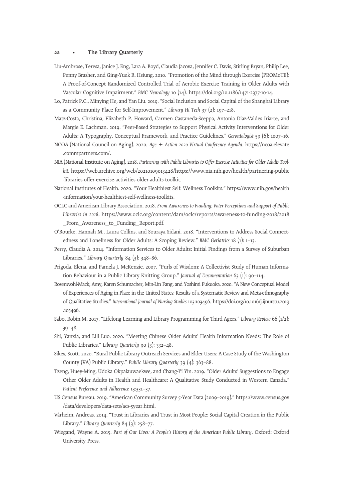- Liu-Ambrose, Teresa, Janice J. Eng, Lara A. Boyd, Claudia Jacova, Jennifer C. Davis, Stirling Bryan, Philip Lee, Penny Brasher, and Ging-Yuek R. Hsiung. 2010. "Promotion of the Mind through Exercise (PROMoTE): A Proof-of-Concept Randomized Controlled Trial of Aerobic Exercise Training in Older Adults with Vascular Cognitive Impairment." BMC Neurology 10 (14). https://doi.org/10.1186/1471-2377-10-14.
- Lo, Patrick P.C., Minying He, and Yan Liu. 2019. "Social Inclusion and Social Capital of the Shanghai Library as a Community Place for Self-Improvement." Library Hi Tech 37 (2): 197–218.
- Matz-Costa, Christina, Elizabeth P. Howard, Carmen Castaneda-Sceppa, Antonia Diaz-Valdes Iriarte, and Margie E. Lachman. 2019. "Peer-Based Strategies to Support Physical Activity Interventions for Older Adults: A Typography, Conceptual Framework, and Practice Guidelines." Gerontologist 59 (6): 1007-16.
- NCOA (National Council on Aging). 2020. Age + Action 2020 Virtual Conference Agenda. https://ncoa.elevate .commpartners.com/.
- NIA (National Institute on Aging). 2018. Partnering with Public Libraries to Offer Exercise Activities for Older Adults Toolkit. https://web.archive.org/web/20210109013428/https://www.nia.nih.gov/health/partnering-public -libraries-offer-exercise-activities-older-adults-toolkit.
- National Institutes of Health. 2020. "Your Healthiest Self: Wellness Toolkits." https://www.nih.gov/health -information/your-healthiest-self-wellness-toolkits.
- OCLC and American Library Association. 2018. From Awareness to Funding: Voter Perceptions and Support of Public Libraries in 2018. https://www.oclc.org/content/dam/oclc/reports/awareness-to-funding-2018/2018 \_From\_Awareness\_to\_Funding\_Report.pdf.
- O'Rourke, Hannah M., Laura Collins, and Souraya Sidani. 2018. "Interventions to Address Social Connectedness and Loneliness for Older Adults: A Scoping Review." BMC Geriatrics 18 (1): 1–13.
- Perry, Claudia A. 2014. "Information Services to Older Adults: Initial Findings from a Survey of Suburban Libraries." Library Quarterly 84 (3): 348-86.
- Prigoda, Elena, and Pamela J. McKenzie. 2007. "Purls of Wisdom: A Collectivist Study of Human Information Behaviour in a Public Library Knitting Group." Journal of Documentation 63 (1): 90–114.
- Rosenwohl-Mack, Amy, Karen Schumacher, Min-Lin Fang, and Yoshimi Fukuoka. 2020. "A New Conceptual Model of Experiences of Aging in Place in the United States: Results of a Systematic Review and Meta-ethnography of Qualitative Studies." International Journal of Nursing Studies 103:103496. https://doi.org/10.1016/j.ijnurstu.2019 .103496.
- Sabo, Robin M. 2017. "Lifelong Learning and Library Programming for Third Agers." Library Review 66 (1/2): 39–48.
- Shi, Yanxia, and Lili Luo. 2020. "Meeting Chinese Older Adults' Health Information Needs: The Role of Public Libraries." Library Quarterly 90 (3): 332-48.
- Sikes, Scott. 2020. "Rural Public Library Outreach Services and Elder Users: A Case Study of the Washington County (VA) Public Library." Public Library Quarterly 39 (4): 363–88.
- Tzeng, Huey-Ming, Udoka Okpalauwaekwe, and Chang-Yi Yin. 2019. "Older Adults' Suggestions to Engage Other Older Adults in Health and Healthcare: A Qualitative Study Conducted in Western Canada." Patient Preference and Adherence 13:331–37.
- US Census Bureau. 2019. "American Community Survey 5-Year Data (2009–2019)." https://www.census.gov /data/developers/data-sets/acs-5year.html.
- Vårheim, Andreas. 2014. "Trust in Libraries and Trust in Most People: Social Capital Creation in the Public Library." Library Quarterly 84  $(3)$ : 258–77.
- Wiegand, Wayne A. 2015. Part of Our Lives: A People's History of the American Public Library. Oxford: Oxford University Press.